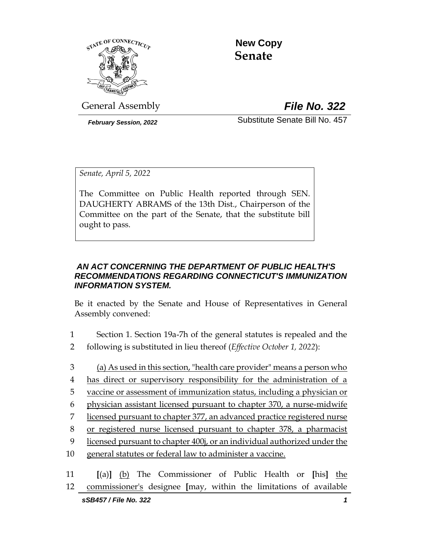

 **New Copy Senate**

General Assembly *File No. 322*

*February Session, 2022* Substitute Senate Bill No. 457

*Senate, April 5, 2022*

The Committee on Public Health reported through SEN. DAUGHERTY ABRAMS of the 13th Dist., Chairperson of the Committee on the part of the Senate, that the substitute bill ought to pass.

#### *AN ACT CONCERNING THE DEPARTMENT OF PUBLIC HEALTH'S RECOMMENDATIONS REGARDING CONNECTICUT'S IMMUNIZATION INFORMATION SYSTEM.*

Be it enacted by the Senate and House of Representatives in General Assembly convened:

- 1 Section 1. Section 19a-7h of the general statutes is repealed and the
- 2 following is substituted in lieu thereof (*Effective October 1, 2022*):
- 3 (a) As used in this section, "health care provider" means a person who 4 has direct or supervisory responsibility for the administration of a 5 vaccine or assessment of immunization status, including a physician or
- 6 physician assistant licensed pursuant to chapter 370, a nurse-midwife
- 7 licensed pursuant to chapter 377, an advanced practice registered nurse
- 8 or registered nurse licensed pursuant to chapter 378, a pharmacist
- 9 licensed pursuant to chapter 400j, or an individual authorized under the
- 10 general statutes or federal law to administer a vaccine.

11 **[**(a)**]** (b) The Commissioner of Public Health or **[**his**]** the 12 commissioner's designee **[**may, within the limitations of available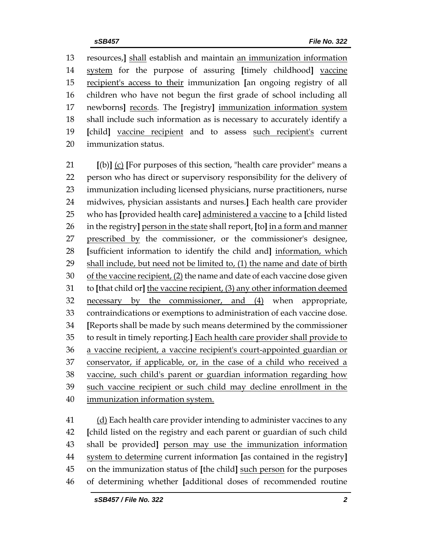resources,**]** shall establish and maintain an immunization information system for the purpose of assuring **[**timely childhood**]** vaccine recipient's access to their immunization **[**an ongoing registry of all children who have not begun the first grade of school including all newborns**]** records. The **[**registry**]** immunization information system shall include such information as is necessary to accurately identify a **[**child**]** vaccine recipient and to assess such recipient's current immunization status.

 **[**(b)**]** (c) **[**For purposes of this section, "health care provider" means a person who has direct or supervisory responsibility for the delivery of immunization including licensed physicians, nurse practitioners, nurse midwives, physician assistants and nurses.**]** Each health care provider who has **[**provided health care**]** administered a vaccine to a **[**child listed in the registry**]** person in the state shall report, **[**to**]** in a form and manner prescribed by the commissioner, or the commissioner's designee, **[**sufficient information to identify the child and**]** information, which shall include, but need not be limited to, (1) the name and date of birth 30 of the vaccine recipient,  $(2)$  the name and date of each vaccine dose given to **[**that child or**]** the vaccine recipient, (3) any other information deemed necessary by the commissioner, and (4) when appropriate, contraindications or exemptions to administration of each vaccine dose. **[**Reports shall be made by such means determined by the commissioner to result in timely reporting.**]** Each health care provider shall provide to a vaccine recipient, a vaccine recipient's court-appointed guardian or conservator, if applicable, or, in the case of a child who received a vaccine, such child's parent or guardian information regarding how such vaccine recipient or such child may decline enrollment in the 40 immunization information system.

 (d) Each health care provider intending to administer vaccines to any **[**child listed on the registry and each parent or guardian of such child shall be provided**]** person may use the immunization information system to determine current information **[**as contained in the registry**]** on the immunization status of **[**the child**]** such person for the purposes of determining whether **[**additional doses of recommended routine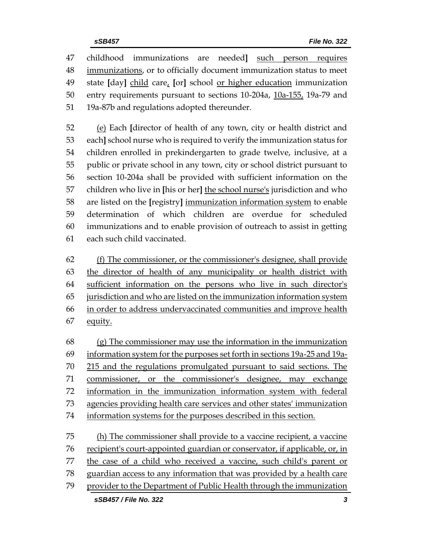childhood immunizations are needed**]** such person requires immunizations, or to officially document immunization status to meet state **[**day**]** child care, **[**or**]** school or higher education immunization 50 entry requirements pursuant to sections 10-204a, 10a-155, 19a-79 and 19a-87b and regulations adopted thereunder.

 (e) Each **[**director of health of any town, city or health district and each**]** school nurse who is required to verify the immunization status for children enrolled in prekindergarten to grade twelve, inclusive, at a public or private school in any town, city or school district pursuant to section 10-204a shall be provided with sufficient information on the children who live in **[**his or her**]** the school nurse's jurisdiction and who are listed on the **[**registry**]** immunization information system to enable determination of which children are overdue for scheduled immunizations and to enable provision of outreach to assist in getting each such child vaccinated.

 (f) The commissioner, or the commissioner's designee, shall provide the director of health of any municipality or health district with sufficient information on the persons who live in such director's jurisdiction and who are listed on the immunization information system in order to address undervaccinated communities and improve health equity.

 (g) The commissioner may use the information in the immunization information system for the purposes set forth in sections 19a-25 and 19a- 215 and the regulations promulgated pursuant to said sections. The 71 commissioner, or the commissioner's designee, may exchange information in the immunization information system with federal 73 agencies providing health care services and other states' immunization information systems for the purposes described in this section.

 (h) The commissioner shall provide to a vaccine recipient, a vaccine recipient's court-appointed guardian or conservator, if applicable, or, in the case of a child who received a vaccine, such child's parent or guardian access to any information that was provided by a health care provider to the Department of Public Health through the immunization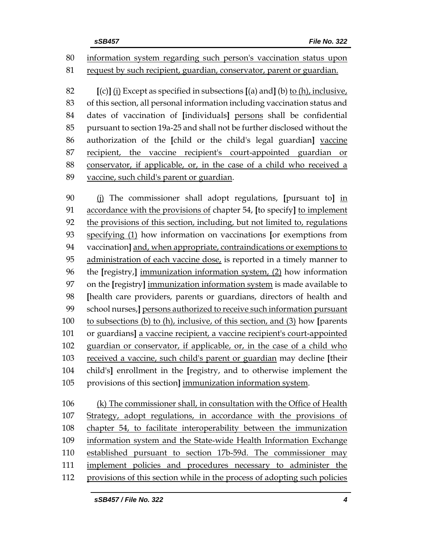information system regarding such person's vaccination status upon request by such recipient, guardian, conservator, parent or guardian.

 **[**(c)**]** (i) Except as specified in subsections **[**(a) and**]** (b) to (h), inclusive, of this section, all personal information including vaccination status and dates of vaccination of **[**individuals**]** persons shall be confidential pursuant to section 19a-25 and shall not be further disclosed without the authorization of the **[**child or the child's legal guardian**]** vaccine recipient, the vaccine recipient's court-appointed guardian or conservator, if applicable, or, in the case of a child who received a vaccine, such child's parent or guardian.

 (j) The commissioner shall adopt regulations, **[**pursuant to**]** in accordance with the provisions of chapter 54, **[**to specify**]** to implement the provisions of this section, including, but not limited to, regulations specifying (1) how information on vaccinations **[**or exemptions from vaccination**]** and, when appropriate, contraindications or exemptions to administration of each vaccine dose, is reported in a timely manner to the **[**registry,**]** immunization information system, (2) how information on the **[**registry**]** immunization information system is made available to **[**health care providers, parents or guardians, directors of health and school nurses,**]** persons authorized to receive such information pursuant to subsections (b) to (h), inclusive, of this section, and (3) how **[**parents or guardians**]** a vaccine recipient, a vaccine recipient's court-appointed guardian or conservator, if applicable, or, in the case of a child who received a vaccine, such child's parent or guardian may decline **[**their child's**]** enrollment in the **[**registry, and to otherwise implement the provisions of this section**]** immunization information system.

 (k) The commissioner shall, in consultation with the Office of Health Strategy, adopt regulations, in accordance with the provisions of chapter 54, to facilitate interoperability between the immunization information system and the State-wide Health Information Exchange established pursuant to section 17b-59d. The commissioner may implement policies and procedures necessary to administer the provisions of this section while in the process of adopting such policies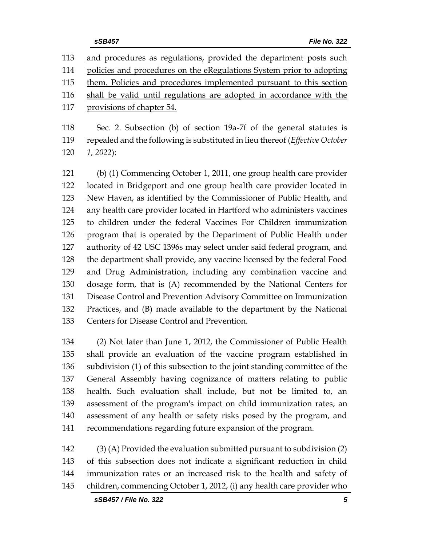and procedures as regulations, provided the department posts such policies and procedures on the eRegulations System prior to adopting them. Policies and procedures implemented pursuant to this section shall be valid until regulations are adopted in accordance with the provisions of chapter 54.

 Sec. 2. Subsection (b) of section 19a-7f of the general statutes is repealed and the following is substituted in lieu thereof (*Effective October 1, 2022*):

 (b) (1) Commencing October 1, 2011, one group health care provider located in Bridgeport and one group health care provider located in New Haven, as identified by the Commissioner of Public Health, and any health care provider located in Hartford who administers vaccines to children under the federal Vaccines For Children immunization program that is operated by the Department of Public Health under authority of 42 USC 1396s may select under said federal program, and the department shall provide, any vaccine licensed by the federal Food and Drug Administration, including any combination vaccine and dosage form, that is (A) recommended by the National Centers for Disease Control and Prevention Advisory Committee on Immunization Practices, and (B) made available to the department by the National Centers for Disease Control and Prevention.

 (2) Not later than June 1, 2012, the Commissioner of Public Health shall provide an evaluation of the vaccine program established in subdivision (1) of this subsection to the joint standing committee of the General Assembly having cognizance of matters relating to public health. Such evaluation shall include, but not be limited to, an assessment of the program's impact on child immunization rates, an assessment of any health or safety risks posed by the program, and recommendations regarding future expansion of the program.

 (3) (A) Provided the evaluation submitted pursuant to subdivision (2) of this subsection does not indicate a significant reduction in child immunization rates or an increased risk to the health and safety of children, commencing October 1, 2012, (i) any health care provider who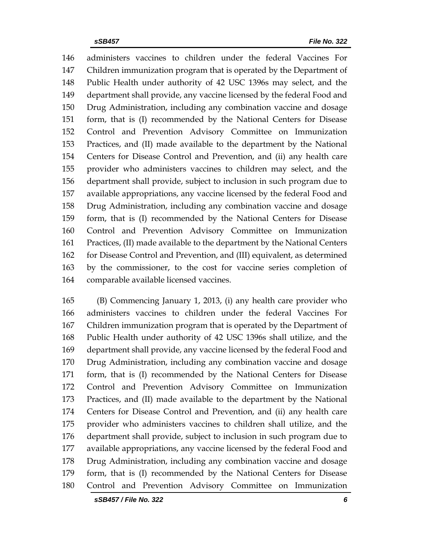administers vaccines to children under the federal Vaccines For Children immunization program that is operated by the Department of Public Health under authority of 42 USC 1396s may select, and the department shall provide, any vaccine licensed by the federal Food and Drug Administration, including any combination vaccine and dosage form, that is (I) recommended by the National Centers for Disease Control and Prevention Advisory Committee on Immunization Practices, and (II) made available to the department by the National Centers for Disease Control and Prevention, and (ii) any health care provider who administers vaccines to children may select, and the department shall provide, subject to inclusion in such program due to available appropriations, any vaccine licensed by the federal Food and Drug Administration, including any combination vaccine and dosage form, that is (I) recommended by the National Centers for Disease Control and Prevention Advisory Committee on Immunization Practices, (II) made available to the department by the National Centers for Disease Control and Prevention, and (III) equivalent, as determined by the commissioner, to the cost for vaccine series completion of comparable available licensed vaccines.

 (B) Commencing January 1, 2013, (i) any health care provider who administers vaccines to children under the federal Vaccines For Children immunization program that is operated by the Department of Public Health under authority of 42 USC 1396s shall utilize, and the department shall provide, any vaccine licensed by the federal Food and Drug Administration, including any combination vaccine and dosage form, that is (I) recommended by the National Centers for Disease Control and Prevention Advisory Committee on Immunization Practices, and (II) made available to the department by the National Centers for Disease Control and Prevention, and (ii) any health care provider who administers vaccines to children shall utilize, and the department shall provide, subject to inclusion in such program due to available appropriations, any vaccine licensed by the federal Food and Drug Administration, including any combination vaccine and dosage form, that is (I) recommended by the National Centers for Disease Control and Prevention Advisory Committee on Immunization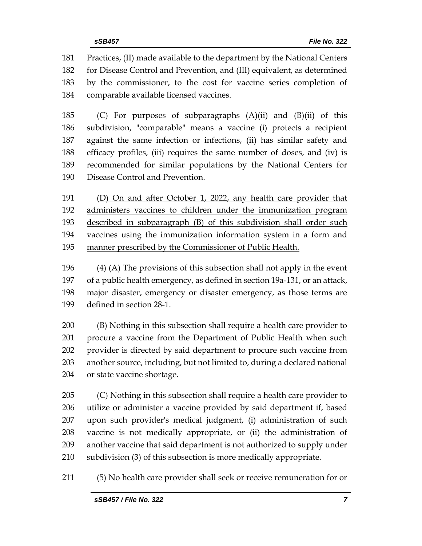Practices, (II) made available to the department by the National Centers for Disease Control and Prevention, and (III) equivalent, as determined by the commissioner, to the cost for vaccine series completion of comparable available licensed vaccines.

 (C) For purposes of subparagraphs (A)(ii) and (B)(ii) of this subdivision, "comparable" means a vaccine (i) protects a recipient against the same infection or infections, (ii) has similar safety and efficacy profiles, (iii) requires the same number of doses, and (iv) is recommended for similar populations by the National Centers for Disease Control and Prevention.

 (D) On and after October 1, 2022, any health care provider that administers vaccines to children under the immunization program described in subparagraph (B) of this subdivision shall order such vaccines using the immunization information system in a form and manner prescribed by the Commissioner of Public Health.

 (4) (A) The provisions of this subsection shall not apply in the event of a public health emergency, as defined in section 19a-131, or an attack, major disaster, emergency or disaster emergency, as those terms are defined in section 28-1.

 (B) Nothing in this subsection shall require a health care provider to procure a vaccine from the Department of Public Health when such provider is directed by said department to procure such vaccine from another source, including, but not limited to, during a declared national or state vaccine shortage.

 (C) Nothing in this subsection shall require a health care provider to utilize or administer a vaccine provided by said department if, based upon such provider's medical judgment, (i) administration of such vaccine is not medically appropriate, or (ii) the administration of another vaccine that said department is not authorized to supply under subdivision (3) of this subsection is more medically appropriate.

(5) No health care provider shall seek or receive remuneration for or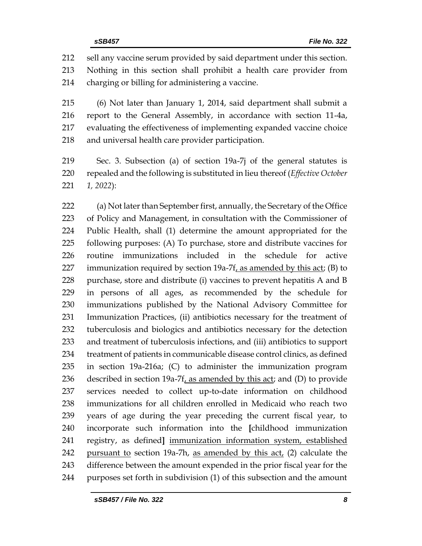sell any vaccine serum provided by said department under this section. Nothing in this section shall prohibit a health care provider from

charging or billing for administering a vaccine.

 (6) Not later than January 1, 2014, said department shall submit a report to the General Assembly, in accordance with section 11-4a, evaluating the effectiveness of implementing expanded vaccine choice and universal health care provider participation.

 Sec. 3. Subsection (a) of section 19a-7j of the general statutes is repealed and the following is substituted in lieu thereof (*Effective October 1, 2022*):

 (a) Not later than September first, annually, the Secretary of the Office of Policy and Management, in consultation with the Commissioner of Public Health, shall (1) determine the amount appropriated for the following purposes: (A) To purchase, store and distribute vaccines for routine immunizations included in the schedule for active 227 immunization required by section  $19a-7f$ , as amended by this act; (B) to purchase, store and distribute (i) vaccines to prevent hepatitis A and B in persons of all ages, as recommended by the schedule for immunizations published by the National Advisory Committee for Immunization Practices, (ii) antibiotics necessary for the treatment of tuberculosis and biologics and antibiotics necessary for the detection and treatment of tuberculosis infections, and (iii) antibiotics to support treatment of patients in communicable disease control clinics, as defined in section 19a-216a; (C) to administer the immunization program described in section 19a-7f, as amended by this act; and (D) to provide services needed to collect up-to-date information on childhood immunizations for all children enrolled in Medicaid who reach two years of age during the year preceding the current fiscal year, to incorporate such information into the **[**childhood immunization registry, as defined**]** immunization information system, established 242 pursuant to section 19a-7h, as amended by this act, (2) calculate the difference between the amount expended in the prior fiscal year for the purposes set forth in subdivision (1) of this subsection and the amount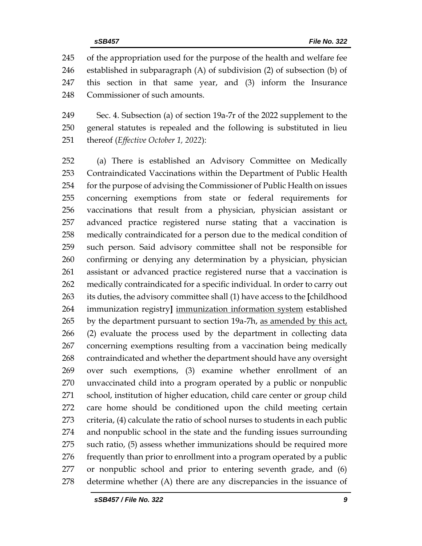of the appropriation used for the purpose of the health and welfare fee established in subparagraph (A) of subdivision (2) of subsection (b) of this section in that same year, and (3) inform the Insurance Commissioner of such amounts.

 Sec. 4. Subsection (a) of section 19a-7r of the 2022 supplement to the general statutes is repealed and the following is substituted in lieu thereof (*Effective October 1, 2022*):

 (a) There is established an Advisory Committee on Medically Contraindicated Vaccinations within the Department of Public Health for the purpose of advising the Commissioner of Public Health on issues concerning exemptions from state or federal requirements for vaccinations that result from a physician, physician assistant or advanced practice registered nurse stating that a vaccination is medically contraindicated for a person due to the medical condition of such person. Said advisory committee shall not be responsible for confirming or denying any determination by a physician, physician assistant or advanced practice registered nurse that a vaccination is medically contraindicated for a specific individual. In order to carry out its duties, the advisory committee shall (1) have access to the **[**childhood immunization registry**]** immunization information system established 265 by the department pursuant to section 19a-7h, as amended by this act, (2) evaluate the process used by the department in collecting data concerning exemptions resulting from a vaccination being medically contraindicated and whether the department should have any oversight over such exemptions, (3) examine whether enrollment of an unvaccinated child into a program operated by a public or nonpublic school, institution of higher education, child care center or group child care home should be conditioned upon the child meeting certain criteria, (4) calculate the ratio of school nurses to students in each public and nonpublic school in the state and the funding issues surrounding such ratio, (5) assess whether immunizations should be required more 276 frequently than prior to enrollment into a program operated by a public or nonpublic school and prior to entering seventh grade, and (6) determine whether (A) there are any discrepancies in the issuance of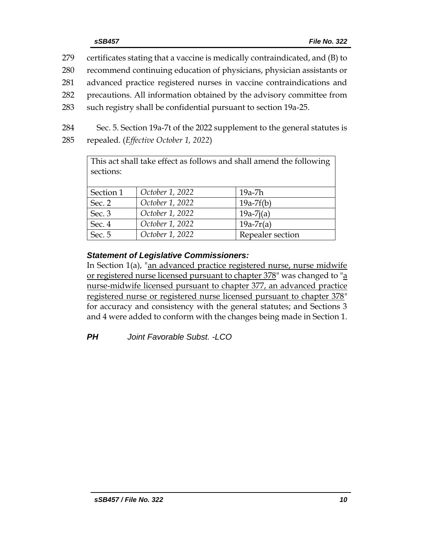- 279 certificates stating that a vaccine is medically contraindicated, and (B) to
- 280 recommend continuing education of physicians, physician assistants or
- 281 advanced practice registered nurses in vaccine contraindications and
- 282 precautions. All information obtained by the advisory committee from
- 283 such registry shall be confidential pursuant to section 19a-25.
- 284 Sec. 5. Section 19a-7t of the 2022 supplement to the general statutes is
- 285 repealed. (*Effective October 1, 2022*)

This act shall take effect as follows and shall amend the following sections:

| Section 1 | October 1, 2022 | 19a-7h           |
|-----------|-----------------|------------------|
| Sec. 2    | October 1, 2022 | $19a-7f(b)$      |
| Sec. 3    | October 1, 2022 | $19a-7i(a)$      |
| Sec. 4    | October 1, 2022 | $19a-7r(a)$      |
| Sec. 5    | October 1, 2022 | Repealer section |

# *Statement of Legislative Commissioners:*

In Section 1(a), "an advanced practice registered nurse, nurse midwife or registered nurse licensed pursuant to chapter 378" was changed to "a nurse-midwife licensed pursuant to chapter 377, an advanced practice registered nurse or registered nurse licensed pursuant to chapter 378" for accuracy and consistency with the general statutes; and Sections 3 and 4 were added to conform with the changes being made in Section 1.

*PH Joint Favorable Subst. -LCO*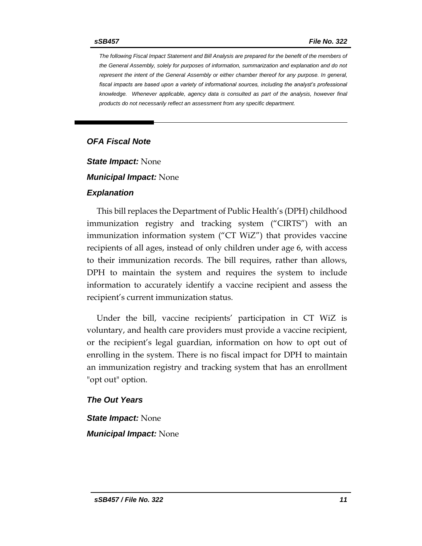*The following Fiscal Impact Statement and Bill Analysis are prepared for the benefit of the members of the General Assembly, solely for purposes of information, summarization and explanation and do not represent the intent of the General Assembly or either chamber thereof for any purpose. In general,*  fiscal impacts are based upon a variety of informational sources, including the analyst's professional *knowledge. Whenever applicable, agency data is consulted as part of the analysis, however final products do not necessarily reflect an assessment from any specific department.*

#### *OFA Fiscal Note*

*State Impact:* None

*Municipal Impact:* None

#### *Explanation*

This bill replaces the Department of Public Health's (DPH) childhood immunization registry and tracking system ("CIRTS") with an immunization information system ("CT WiZ") that provides vaccine recipients of all ages, instead of only children under age 6, with access to their immunization records. The bill requires, rather than allows, DPH to maintain the system and requires the system to include information to accurately identify a vaccine recipient and assess the recipient's current immunization status.

Under the bill, vaccine recipients' participation in CT WiZ is voluntary, and health care providers must provide a vaccine recipient, or the recipient's legal guardian, information on how to opt out of enrolling in the system. There is no fiscal impact for DPH to maintain an immunization registry and tracking system that has an enrollment "opt out" option.

#### *The Out Years*

*State Impact:* None *Municipal Impact:* None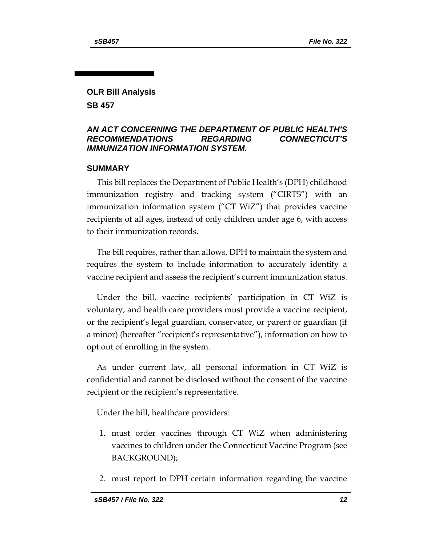# **OLR Bill Analysis**

**SB 457**

#### *AN ACT CONCERNING THE DEPARTMENT OF PUBLIC HEALTH'S RECOMMENDATIONS REGARDING CONNECTICUT'S IMMUNIZATION INFORMATION SYSTEM.*

#### **SUMMARY**

This bill replaces the Department of Public Health's (DPH) childhood immunization registry and tracking system ("CIRTS") with an immunization information system ("CT WiZ") that provides vaccine recipients of all ages, instead of only children under age 6, with access to their immunization records.

The bill requires, rather than allows, DPH to maintain the system and requires the system to include information to accurately identify a vaccine recipient and assess the recipient's current immunization status.

Under the bill, vaccine recipients' participation in CT WiZ is voluntary, and health care providers must provide a vaccine recipient, or the recipient's legal guardian, conservator, or parent or guardian (if a minor) (hereafter "recipient's representative"), information on how to opt out of enrolling in the system.

As under current law, all personal information in CT WiZ is confidential and cannot be disclosed without the consent of the vaccine recipient or the recipient's representative.

Under the bill, healthcare providers:

- 1. must order vaccines through CT WiZ when administering vaccines to children under the Connecticut Vaccine Program (see BACKGROUND);
- 2. must report to DPH certain information regarding the vaccine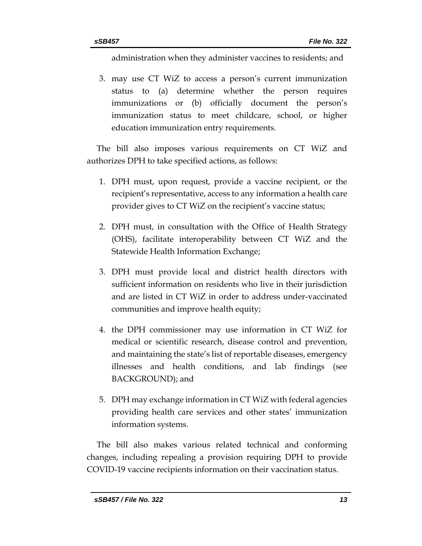administration when they administer vaccines to residents; and

3. may use CT WiZ to access a person's current immunization status to (a) determine whether the person requires immunizations or (b) officially document the person's immunization status to meet childcare, school, or higher education immunization entry requirements.

The bill also imposes various requirements on CT WiZ and authorizes DPH to take specified actions, as follows:

- 1. DPH must, upon request, provide a vaccine recipient, or the recipient's representative, access to any information a health care provider gives to CT WiZ on the recipient's vaccine status;
- 2. DPH must, in consultation with the Office of Health Strategy (OHS), facilitate interoperability between CT WiZ and the Statewide Health Information Exchange;
- 3. DPH must provide local and district health directors with sufficient information on residents who live in their jurisdiction and are listed in CT WiZ in order to address under-vaccinated communities and improve health equity;
- 4. the DPH commissioner may use information in CT WiZ for medical or scientific research, disease control and prevention, and maintaining the state's list of reportable diseases, emergency illnesses and health conditions, and lab findings (see BACKGROUND); and
- 5. DPH may exchange information in CT WiZ with federal agencies providing health care services and other states' immunization information systems.

The bill also makes various related technical and conforming changes, including repealing a provision requiring DPH to provide COVID-19 vaccine recipients information on their vaccination status.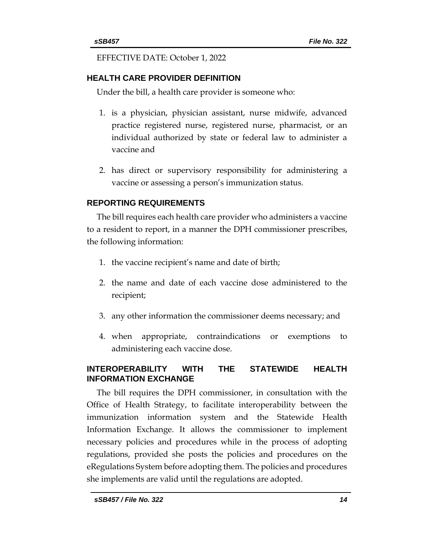EFFECTIVE DATE: October 1, 2022

# **HEALTH CARE PROVIDER DEFINITION**

Under the bill, a health care provider is someone who:

- 1. is a physician, physician assistant, nurse midwife, advanced practice registered nurse, registered nurse, pharmacist, or an individual authorized by state or federal law to administer a vaccine and
- 2. has direct or supervisory responsibility for administering a vaccine or assessing a person's immunization status.

# **REPORTING REQUIREMENTS**

The bill requires each health care provider who administers a vaccine to a resident to report, in a manner the DPH commissioner prescribes, the following information:

- 1. the vaccine recipient's name and date of birth;
- 2. the name and date of each vaccine dose administered to the recipient;
- 3. any other information the commissioner deems necessary; and
- 4. when appropriate, contraindications or exemptions to administering each vaccine dose.

# **INTEROPERABILITY WITH THE STATEWIDE HEALTH INFORMATION EXCHANGE**

The bill requires the DPH commissioner, in consultation with the Office of Health Strategy, to facilitate interoperability between the immunization information system and the Statewide Health Information Exchange. It allows the commissioner to implement necessary policies and procedures while in the process of adopting regulations, provided she posts the policies and procedures on the eRegulations System before adopting them. The policies and procedures she implements are valid until the regulations are adopted.